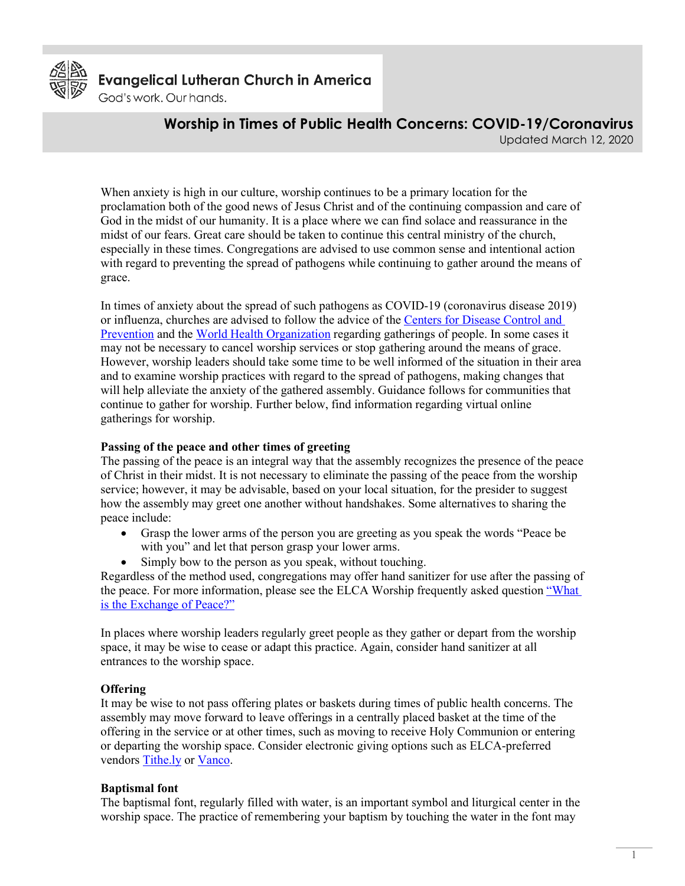

**Evangelical Lutheran Church in America** 

God's work. Our hands.

**Worship in Times of Public Health Concerns: COVID-19/Coronavirus**

Updated March 12, 2020

When anxiety is high in our culture, worship continues to be a primary location for the proclamation both of the good news of Jesus Christ and of the continuing compassion and care of God in the midst of our humanity. It is a place where we can find solace and reassurance in the midst of our fears. Great care should be taken to continue this central ministry of the church, especially in these times. Congregations are advised to use common sense and intentional action with regard to preventing the spread of pathogens while continuing to gather around the means of grace.

In times of anxiety about the spread of such pathogens as COVID-19 (coronavirus disease 2019) or influenza, churches are advised to follow the advice of the [Centers for Disease Control](http://www.cdc.gov/) and [Prevention](http://www.cdc.gov/) and the [World Health Organization](https://www.who.int/) regarding gatherings of people. In some cases it may not be necessary to cancel worship services or stop gathering around the means of grace. However, worship leaders should take some time to be well informed of the situation in their area and to examine worship practices with regard to the spread of pathogens, making changes that will help alleviate the anxiety of the gathered assembly. Guidance follows for communities that continue to gather for worship. Further below, find information regarding virtual online gatherings for worship.

### **Passing of the peace and other times of greeting**

The passing of the peace is an integral way that the assembly recognizes the presence of the peace of Christ in their midst. It is not necessary to eliminate the passing of the peace from the worship service; however, it may be advisable, based on your local situation, for the presider to suggest how the assembly may greet one another without handshakes. Some alternatives to sharing the peace include:

- Grasp the lower arms of the person you are greeting as you speak the words "Peace be with you" and let that person grasp your lower arms.
- Simply bow to the person as you speak, without touching.

Regardless of the method used, congregations may offer hand sanitizer for use after the passing of the peace. For more information, please see the ELCA Worship frequently asked question "What [is the Exchange of Peace?"](http://download.elca.org/ELCA%20Resource%20Repository/What_is_the_Exchange_of_Peace.pdf)

In places where worship leaders regularly greet people as they gather or depart from the worship space, it may be wise to cease or adapt this practice. Again, consider hand sanitizer at all entrances to the worship space.

# **Offering**

It may be wise to not pass offering plates or baskets during times of public health concerns. The assembly may move forward to leave offerings in a centrally placed basket at the time of the offering in the service or at other times, such as moving to receive Holy Communion or entering or departing the worship space. Consider electronic giving options such as ELCA-preferred vendors [Tithe.ly](https://get.tithe.ly/elca) or [Vanco.](https://www.giveplus.com/elca)

### **Baptismal font**

The baptismal font, regularly filled with water, is an important symbol and liturgical center in the worship space. The practice of remembering your baptism by touching the water in the font may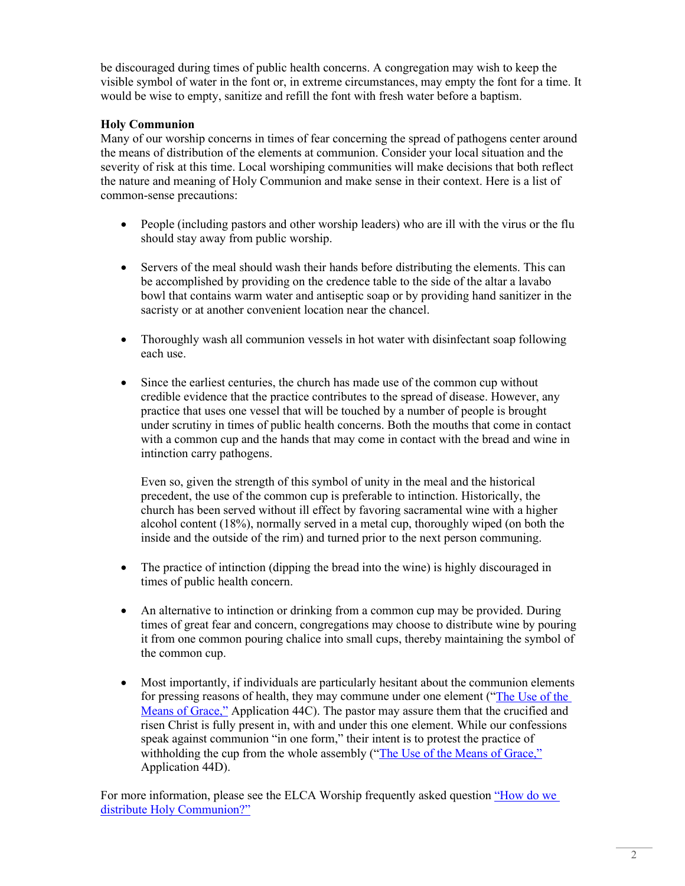be discouraged during times of public health concerns. A congregation may wish to keep the visible symbol of water in the font or, in extreme circumstances, may empty the font for a time. It would be wise to empty, sanitize and refill the font with fresh water before a baptism.

## **Holy Communion**

Many of our worship concerns in times of fear concerning the spread of pathogens center around the means of distribution of the elements at communion. Consider your local situation and the severity of risk at this time. Local worshiping communities will make decisions that both reflect the nature and meaning of Holy Communion and make sense in their context. Here is a list of common-sense precautions:

- People (including pastors and other worship leaders) who are ill with the virus or the flu should stay away from public worship.
- Servers of the meal should wash their hands before distributing the elements. This can be accomplished by providing on the credence table to the side of the altar a lavabo bowl that contains warm water and antiseptic soap or by providing hand sanitizer in the sacristy or at another convenient location near the chancel.
- Thoroughly wash all communion vessels in hot water with disinfectant soap following each use.
- Since the earliest centuries, the church has made use of the common cup without credible evidence that the practice contributes to the spread of disease. However, any practice that uses one vessel that will be touched by a number of people is brought under scrutiny in times of public health concerns. Both the mouths that come in contact with a common cup and the hands that may come in contact with the bread and wine in intinction carry pathogens.

Even so, given the strength of this symbol of unity in the meal and the historical precedent, the use of the common cup is preferable to intinction. Historically, the church has been served without ill effect by favoring sacramental wine with a higher alcohol content (18%), normally served in a metal cup, thoroughly wiped (on both the inside and the outside of the rim) and turned prior to the next person communing.

- The practice of intinction (dipping the bread into the wine) is highly discouraged in times of public health concern.
- An alternative to intinction or drinking from a common cup may be provided. During times of great fear and concern, congregations may choose to distribute wine by pouring it from one common pouring chalice into small cups, thereby maintaining the symbol of the common cup.
- Most importantly, if individuals are particularly hesitant about the communion elements for pressing reasons of health, they may commune under one element (["The Use of the](https://download.elca.org/ELCA%20Resource%20Repository/The_Use_Of_The_Means_Of_Grace.pdf)  [Means of](https://download.elca.org/ELCA%20Resource%20Repository/The_Use_Of_The_Means_Of_Grace.pdf) [Grace,"](http://www.elca.org/Growing-In-Faith/Worship/Learning-Center/The-Use-of-the-Means-of-Grace.aspx) Application 44C). The pastor may assure them that the crucified and risen Christ is fully present in, with and under this one element. While our confessions speak against communion "in one form," their intent is to protest the practice of withholding the cup from the whole assembly (["The Use of the Means of Grace,"](https://download.elca.org/ELCA%20Resource%20Repository/The_Use_Of_The_Means_Of_Grace.pdf) Application 44D).

For more information, please see the ELCA Worship frequently asked question ["How do we](http://download.elca.org/ELCA%20Resource%20Repository/How_do_we_distribute_Holy_Communion.pdf)  [distribute Holy Communion?"](http://download.elca.org/ELCA%20Resource%20Repository/How_do_we_distribute_Holy_Communion.pdf)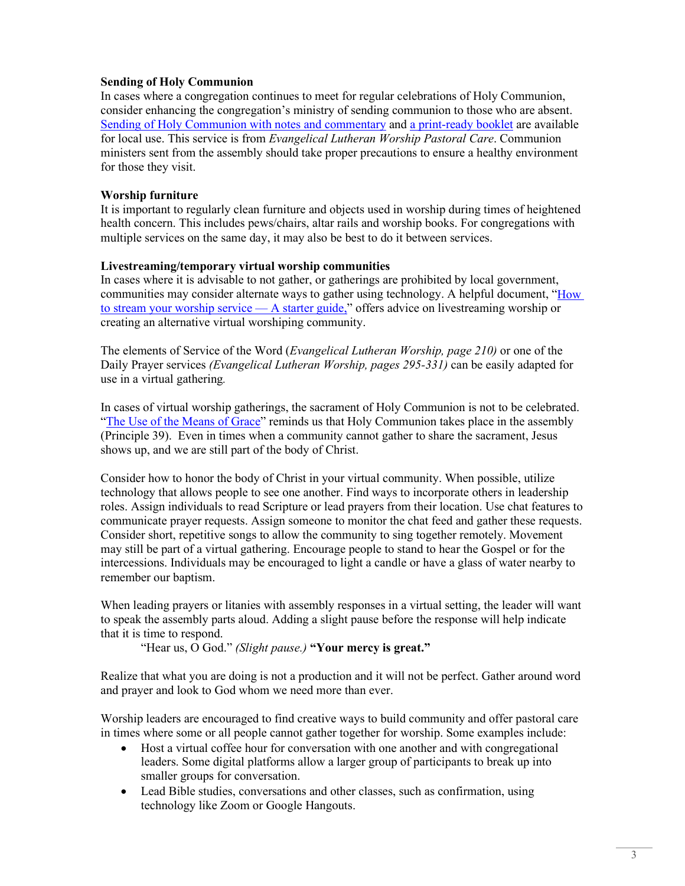### **Sending of Holy Communion**

In cases where a congregation continues to meet for regular celebrations of Holy Communion, consider enhancing the congregation's ministry of sending communion to those who are absent. [Sending of Holy Communion with notes and commentary](https://download.elca.org/ELCA%20Resource%20Repository/Sending_of_Holy_Communion.pdf) and [a print-ready booklet](https://download.elca.org/ELCA%20Resource%20Repository/Sending_of_Communion_Booklet.pdf) are available for local use. This service is from *Evangelical Lutheran Worship Pastoral Care*. Communion ministers sent from the assembly should take proper precautions to ensure a healthy environment for those they visit.

#### **Worship furniture**

It is important to regularly clean furniture and objects used in worship during times of heightened health concern. This includes pews/chairs, altar rails and worship books. For congregations with multiple services on the same day, it may also be best to do it between services.

#### **Livestreaming/temporary virtual worship communities**

In cases where it is advisable to not gather, or gatherings are prohibited by local government, communities may consider alternate ways to gather using technology. A helpful document, ["How](https://download.elca.org/ELCA%20Resource%20Repository/Livestreaming_for_Congregations.pdf)  [to stream your worship service —](https://download.elca.org/ELCA%20Resource%20Repository/Livestreaming_for_Congregations.pdf) A starter guide," offers advice on livestreaming worship or creating an alternative virtual worshiping community.

The elements of Service of the Word (*Evangelical Lutheran Worship, page 210)* or one of the Daily Prayer services *(Evangelical Lutheran Worship, pages 295-331)* can be easily adapted for use in a virtual gathering*.*

In cases of virtual worship gatherings, the sacrament of Holy Communion is not to be celebrated. ["The Use of the Means of Grace"](https://download.elca.org/ELCA%20Resource%20Repository/The_Use_Of_The_Means_Of_Grace.pdf) reminds us that Holy Communion takes place in the assembly (Principle 39). Even in times when a community cannot gather to share the sacrament, Jesus shows up, and we are still part of the body of Christ.

Consider how to honor the body of Christ in your virtual community. When possible, utilize technology that allows people to see one another. Find ways to incorporate others in leadership roles. Assign individuals to read Scripture or lead prayers from their location. Use chat features to communicate prayer requests. Assign someone to monitor the chat feed and gather these requests. Consider short, repetitive songs to allow the community to sing together remotely. Movement may still be part of a virtual gathering. Encourage people to stand to hear the Gospel or for the intercessions. Individuals may be encouraged to light a candle or have a glass of water nearby to remember our baptism.

When leading prayers or litanies with assembly responses in a virtual setting, the leader will want to speak the assembly parts aloud. Adding a slight pause before the response will help indicate that it is time to respond.

"Hear us, O God." *(Slight pause.)* **"Your mercy is great."**

Realize that what you are doing is not a production and it will not be perfect. Gather around word and prayer and look to God whom we need more than ever.

Worship leaders are encouraged to find creative ways to build community and offer pastoral care in times where some or all people cannot gather together for worship. Some examples include:

- Host a virtual coffee hour for conversation with one another and with congregational leaders. Some digital platforms allow a larger group of participants to break up into smaller groups for conversation.
- Lead Bible studies, conversations and other classes, such as confirmation, using technology like Zoom or Google Hangouts.